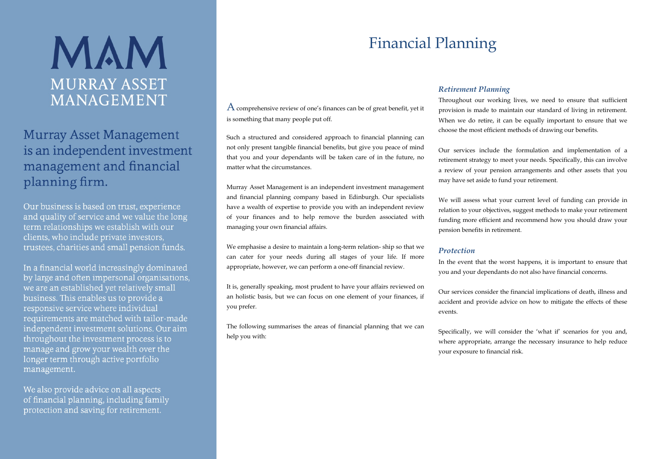# MAM **MURRAY ASSET MANAGEMENT**

### **Murray Asset Management** is an independent investment management and financial planning firm.

Our business is based on trust, experience and quality of service and we value the long term relationships we establish with our clients, who include private investors. trustees, charities and small pension funds.

In a financial world increasingly dominated by large and often impersonal organisations. we are an established yet relatively small business. This enables us to provide a responsive service where individual requirements are matched with tailor-made independent investment solutions. Our aim throughout the investment process is to manage and grow your wealth over the longer term through active portfolio management.

We also provide advice on all aspects of financial planning, including family protection and saving for retirement.

### $A$  comprehensive review of one's finances can be of great benefit, yet it is something that many people put off.

Such a structured and considered approach to financial planning can not only present tangible financial benefits, but give you peace of mind that you and your dependants will be taken care of in the future, no matter what the circumstances.

Murray Asset Management is an independent investment management and financial planning company based in Edinburgh. Our specialists have a wealth of expertise to provide you with an independent review of your finances and to help remove the burden associated with managing your own financial affairs.

We emphasise a desire to maintain a long-term relation- ship so that we can cater for your needs during all stages of your life. If more appropriate, however, we can perform a one-off financial review.

It is, generally speaking, most prudent to have your affairs reviewed on an holistic basis, but we can focus on one element of your finances, if you prefer.

The following summarises the areas of financial planning that we can help you with:

## Financial Planning

### *Retirement Planning*

Throughout our working lives, we need to ensure that sufficient provision is made to maintain our standard of living in retirement. When we do retire, it can be equally important to ensure that we choose the most efficient methods of drawing our benefits.

Our services include the formulation and implementation of a retirement strategy to meet your needs. Specifically, this can involve a review of your pension arrangements and other assets that you may have set aside to fund your retirement.

We will assess what your current level of funding can provide in relation to your objectives, suggest methods to make your retirement funding more efficient and recommend how you should draw your pension benefits in retirement.

### *Protection*

In the event that the worst happens, it is important to ensure that you and your dependants do not also have financial concerns.

Our services consider the financial implications of death, illness and accident and provide advice on how to mitigate the effects of these events.

Specifically, we will consider the 'what if' scenarios for you and, where appropriate, arrange the necessary insurance to help reduce your exposure to financial risk.